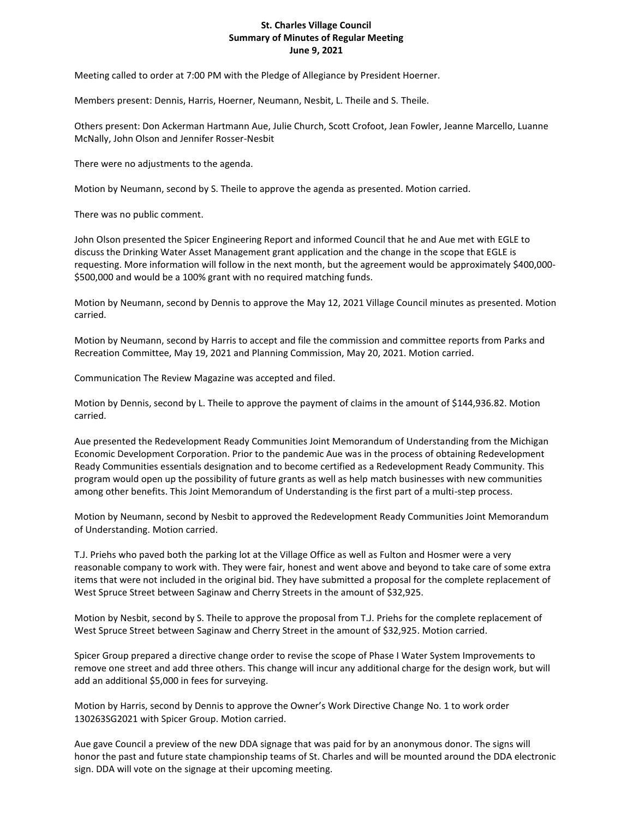## **St. Charles Village Council Summary of Minutes of Regular Meeting June 9, 2021**

Meeting called to order at 7:00 PM with the Pledge of Allegiance by President Hoerner.

Members present: Dennis, Harris, Hoerner, Neumann, Nesbit, L. Theile and S. Theile.

Others present: Don Ackerman Hartmann Aue, Julie Church, Scott Crofoot, Jean Fowler, Jeanne Marcello, Luanne McNally, John Olson and Jennifer Rosser-Nesbit

There were no adjustments to the agenda.

Motion by Neumann, second by S. Theile to approve the agenda as presented. Motion carried.

There was no public comment.

John Olson presented the Spicer Engineering Report and informed Council that he and Aue met with EGLE to discuss the Drinking Water Asset Management grant application and the change in the scope that EGLE is requesting. More information will follow in the next month, but the agreement would be approximately \$400,000- \$500,000 and would be a 100% grant with no required matching funds.

Motion by Neumann, second by Dennis to approve the May 12, 2021 Village Council minutes as presented. Motion carried.

Motion by Neumann, second by Harris to accept and file the commission and committee reports from Parks and Recreation Committee, May 19, 2021 and Planning Commission, May 20, 2021. Motion carried.

Communication The Review Magazine was accepted and filed.

Motion by Dennis, second by L. Theile to approve the payment of claims in the amount of \$144,936.82. Motion carried.

Aue presented the Redevelopment Ready Communities Joint Memorandum of Understanding from the Michigan Economic Development Corporation. Prior to the pandemic Aue was in the process of obtaining Redevelopment Ready Communities essentials designation and to become certified as a Redevelopment Ready Community. This program would open up the possibility of future grants as well as help match businesses with new communities among other benefits. This Joint Memorandum of Understanding is the first part of a multi-step process.

Motion by Neumann, second by Nesbit to approved the Redevelopment Ready Communities Joint Memorandum of Understanding. Motion carried.

T.J. Priehs who paved both the parking lot at the Village Office as well as Fulton and Hosmer were a very reasonable company to work with. They were fair, honest and went above and beyond to take care of some extra items that were not included in the original bid. They have submitted a proposal for the complete replacement of West Spruce Street between Saginaw and Cherry Streets in the amount of \$32,925.

Motion by Nesbit, second by S. Theile to approve the proposal from T.J. Priehs for the complete replacement of West Spruce Street between Saginaw and Cherry Street in the amount of \$32,925. Motion carried.

Spicer Group prepared a directive change order to revise the scope of Phase I Water System Improvements to remove one street and add three others. This change will incur any additional charge for the design work, but will add an additional \$5,000 in fees for surveying.

Motion by Harris, second by Dennis to approve the Owner's Work Directive Change No. 1 to work order 130263SG2021 with Spicer Group. Motion carried.

Aue gave Council a preview of the new DDA signage that was paid for by an anonymous donor. The signs will honor the past and future state championship teams of St. Charles and will be mounted around the DDA electronic sign. DDA will vote on the signage at their upcoming meeting.